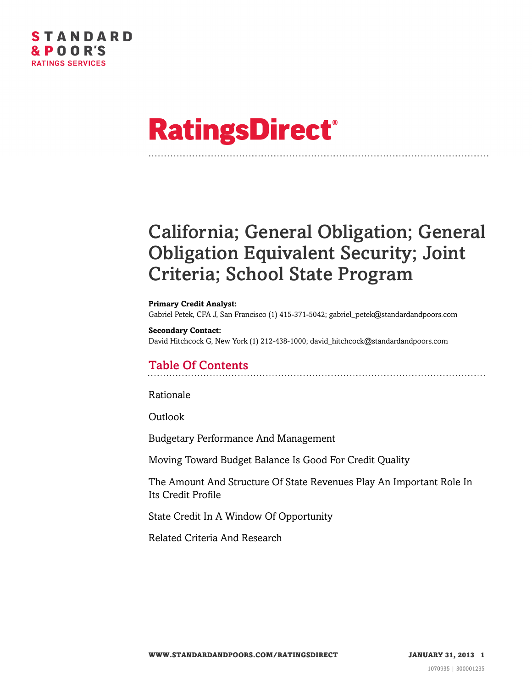# **RatingsDirect®**

# California; General Obligation; General Obligation Equivalent Security; Joint Criteria; School State Program

**Primary Credit Analyst:** Gabriel Petek, CFA J, San Francisco (1) 415-371-5042; gabriel\_petek@standardandpoors.com

#### **Secondary Contact:**

David Hitchcock G, New York (1) 212-438-1000; david\_hitchcock@standardandpoors.com

# Table Of Contents

[Rationale](#page-1-0)

[Outlook](#page-3-0)

[Budgetary Performance And Management](#page-4-0)

[Moving Toward Budget Balance Is Good For Credit Quality](#page-5-0)

[The Amount And Structure Of State Revenues Play An Important Role In](#page-5-1) [Its Credit Profile](#page-5-1)

[State Credit In A Window Of Opportunity](#page-6-0)

[Related Criteria And Research](#page-6-1)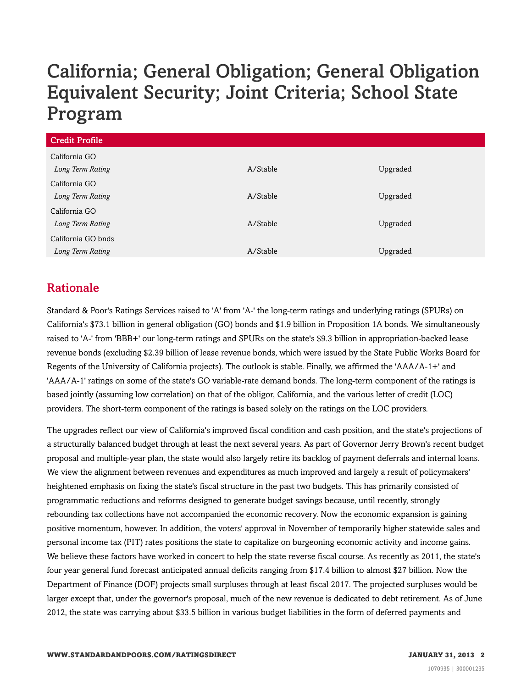# California; General Obligation; General Obligation Equivalent Security; Joint Criteria; School State Program

| <b>Credit Profile</b> |          |          |
|-----------------------|----------|----------|
| California GO         |          |          |
| Long Term Rating      | A/Stable | Upgraded |
| California GO         |          |          |
| Long Term Rating      | A/Stable | Upgraded |
| California GO         |          |          |
| Long Term Rating      | A/Stable | Upgraded |
| California GO bnds    |          |          |
| Long Term Rating      | A/Stable | Upgraded |

### <span id="page-1-0"></span>Rationale

Standard & Poor's Ratings Services raised to 'A' from 'A-' the long-term ratings and underlying ratings (SPURs) on California's \$73.1 billion in general obligation (GO) bonds and \$1.9 billion in Proposition 1A bonds. We simultaneously raised to 'A-' from 'BBB+' our long-term ratings and SPURs on the state's \$9.3 billion in appropriation-backed lease revenue bonds (excluding \$2.39 billion of lease revenue bonds, which were issued by the State Public Works Board for Regents of the University of California projects). The outlook is stable. Finally, we affirmed the 'AAA/A-1+' and 'AAA/A-1' ratings on some of the state's GO variable-rate demand bonds. The long-term component of the ratings is based jointly (assuming low correlation) on that of the obligor, California, and the various letter of credit (LOC) providers. The short-term component of the ratings is based solely on the ratings on the LOC providers.

The upgrades reflect our view of California's improved fiscal condition and cash position, and the state's projections of a structurally balanced budget through at least the next several years. As part of Governor Jerry Brown's recent budget proposal and multiple-year plan, the state would also largely retire its backlog of payment deferrals and internal loans. We view the alignment between revenues and expenditures as much improved and largely a result of policymakers' heightened emphasis on fixing the state's fiscal structure in the past two budgets. This has primarily consisted of programmatic reductions and reforms designed to generate budget savings because, until recently, strongly rebounding tax collections have not accompanied the economic recovery. Now the economic expansion is gaining positive momentum, however. In addition, the voters' approval in November of temporarily higher statewide sales and personal income tax (PIT) rates positions the state to capitalize on burgeoning economic activity and income gains. We believe these factors have worked in concert to help the state reverse fiscal course. As recently as 2011, the state's four year general fund forecast anticipated annual deficits ranging from \$17.4 billion to almost \$27 billion. Now the Department of Finance (DOF) projects small surpluses through at least fiscal 2017. The projected surpluses would be larger except that, under the governor's proposal, much of the new revenue is dedicated to debt retirement. As of June 2012, the state was carrying about \$33.5 billion in various budget liabilities in the form of deferred payments and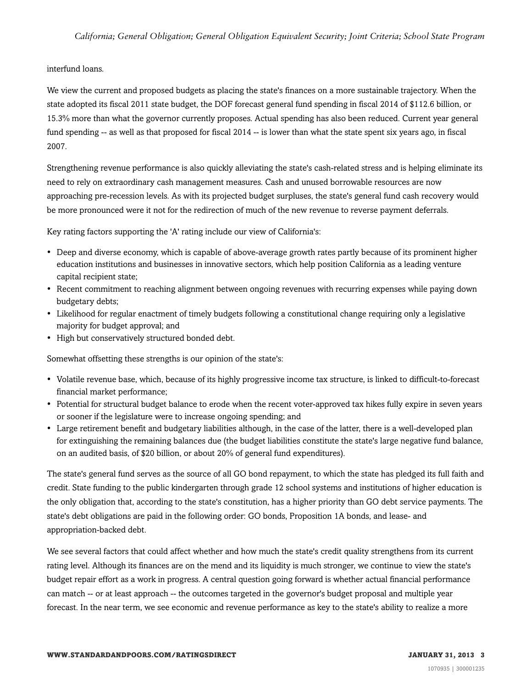#### interfund loans.

We view the current and proposed budgets as placing the state's finances on a more sustainable trajectory. When the state adopted its fiscal 2011 state budget, the DOF forecast general fund spending in fiscal 2014 of \$112.6 billion, or 15.3% more than what the governor currently proposes. Actual spending has also been reduced. Current year general fund spending -- as well as that proposed for fiscal 2014 -- is lower than what the state spent six years ago, in fiscal 2007.

Strengthening revenue performance is also quickly alleviating the state's cash-related stress and is helping eliminate its need to rely on extraordinary cash management measures. Cash and unused borrowable resources are now approaching pre-recession levels. As with its projected budget surpluses, the state's general fund cash recovery would be more pronounced were it not for the redirection of much of the new revenue to reverse payment deferrals.

Key rating factors supporting the 'A' rating include our view of California's:

- Deep and diverse economy, which is capable of above-average growth rates partly because of its prominent higher education institutions and businesses in innovative sectors, which help position California as a leading venture capital recipient state;
- Recent commitment to reaching alignment between ongoing revenues with recurring expenses while paying down budgetary debts;
- Likelihood for regular enactment of timely budgets following a constitutional change requiring only a legislative majority for budget approval; and
- High but conservatively structured bonded debt.

Somewhat offsetting these strengths is our opinion of the state's:

- Volatile revenue base, which, because of its highly progressive income tax structure, is linked to difficult-to-forecast financial market performance;
- Potential for structural budget balance to erode when the recent voter-approved tax hikes fully expire in seven years or sooner if the legislature were to increase ongoing spending; and
- Large retirement benefit and budgetary liabilities although, in the case of the latter, there is a well-developed plan for extinguishing the remaining balances due (the budget liabilities constitute the state's large negative fund balance, on an audited basis, of \$20 billion, or about 20% of general fund expenditures).

The state's general fund serves as the source of all GO bond repayment, to which the state has pledged its full faith and credit. State funding to the public kindergarten through grade 12 school systems and institutions of higher education is the only obligation that, according to the state's constitution, has a higher priority than GO debt service payments. The state's debt obligations are paid in the following order: GO bonds, Proposition 1A bonds, and lease- and appropriation-backed debt.

We see several factors that could affect whether and how much the state's credit quality strengthens from its current rating level. Although its finances are on the mend and its liquidity is much stronger, we continue to view the state's budget repair effort as a work in progress. A central question going forward is whether actual financial performance can match -- or at least approach -- the outcomes targeted in the governor's budget proposal and multiple year forecast. In the near term, we see economic and revenue performance as key to the state's ability to realize a more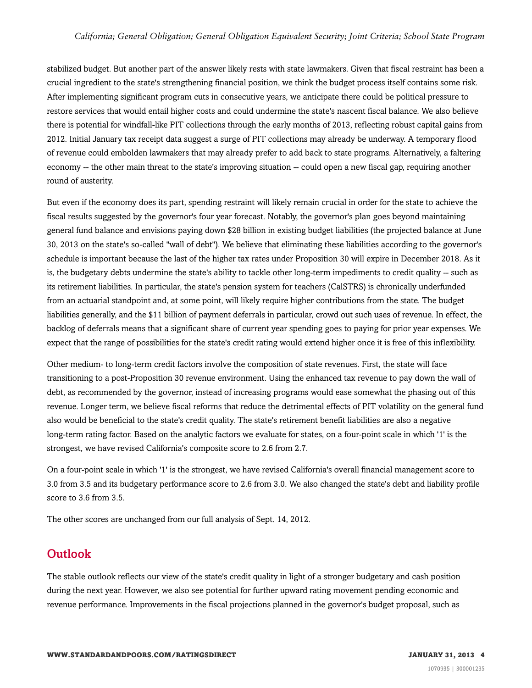#### *California; General Obligation; General Obligation Equivalent Security; Joint Criteria; School State Program*

stabilized budget. But another part of the answer likely rests with state lawmakers. Given that fiscal restraint has been a crucial ingredient to the state's strengthening financial position, we think the budget process itself contains some risk. After implementing significant program cuts in consecutive years, we anticipate there could be political pressure to restore services that would entail higher costs and could undermine the state's nascent fiscal balance. We also believe there is potential for windfall-like PIT collections through the early months of 2013, reflecting robust capital gains from 2012. Initial January tax receipt data suggest a surge of PIT collections may already be underway. A temporary flood of revenue could embolden lawmakers that may already prefer to add back to state programs. Alternatively, a faltering economy -- the other main threat to the state's improving situation -- could open a new fiscal gap, requiring another round of austerity.

But even if the economy does its part, spending restraint will likely remain crucial in order for the state to achieve the fiscal results suggested by the governor's four year forecast. Notably, the governor's plan goes beyond maintaining general fund balance and envisions paying down \$28 billion in existing budget liabilities (the projected balance at June 30, 2013 on the state's so-called "wall of debt"). We believe that eliminating these liabilities according to the governor's schedule is important because the last of the higher tax rates under Proposition 30 will expire in December 2018. As it is, the budgetary debts undermine the state's ability to tackle other long-term impediments to credit quality -- such as its retirement liabilities. In particular, the state's pension system for teachers (CalSTRS) is chronically underfunded from an actuarial standpoint and, at some point, will likely require higher contributions from the state. The budget liabilities generally, and the \$11 billion of payment deferrals in particular, crowd out such uses of revenue. In effect, the backlog of deferrals means that a significant share of current year spending goes to paying for prior year expenses. We expect that the range of possibilities for the state's credit rating would extend higher once it is free of this inflexibility.

Other medium- to long-term credit factors involve the composition of state revenues. First, the state will face transitioning to a post-Proposition 30 revenue environment. Using the enhanced tax revenue to pay down the wall of debt, as recommended by the governor, instead of increasing programs would ease somewhat the phasing out of this revenue. Longer term, we believe fiscal reforms that reduce the detrimental effects of PIT volatility on the general fund also would be beneficial to the state's credit quality. The state's retirement benefit liabilities are also a negative long-term rating factor. Based on the analytic factors we evaluate for states, on a four-point scale in which '1' is the strongest, we have revised California's composite score to 2.6 from 2.7.

On a four-point scale in which '1' is the strongest, we have revised California's overall financial management score to 3.0 from 3.5 and its budgetary performance score to 2.6 from 3.0. We also changed the state's debt and liability profile score to 3.6 from 3.5.

<span id="page-3-0"></span>The other scores are unchanged from our full analysis of Sept. 14, 2012.

#### **Outlook**

The stable outlook reflects our view of the state's credit quality in light of a stronger budgetary and cash position during the next year. However, we also see potential for further upward rating movement pending economic and revenue performance. Improvements in the fiscal projections planned in the governor's budget proposal, such as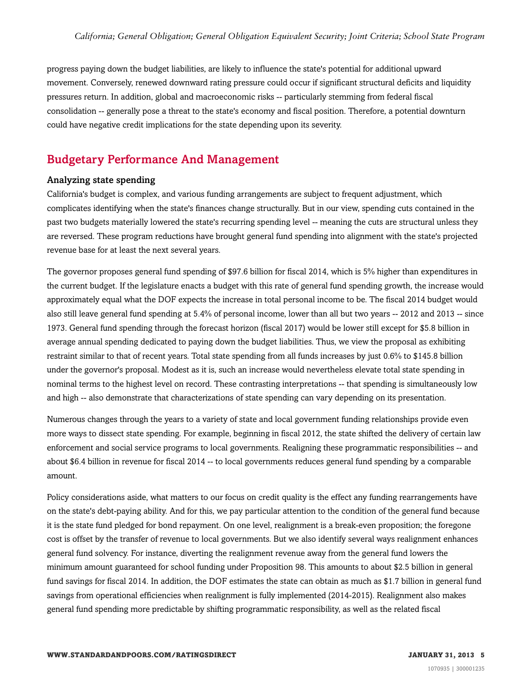progress paying down the budget liabilities, are likely to influence the state's potential for additional upward movement. Conversely, renewed downward rating pressure could occur if significant structural deficits and liquidity pressures return. In addition, global and macroeconomic risks -- particularly stemming from federal fiscal consolidation -- generally pose a threat to the state's economy and fiscal position. Therefore, a potential downturn could have negative credit implications for the state depending upon its severity.

#### <span id="page-4-0"></span>Budgetary Performance And Management

#### Analyzing state spending

California's budget is complex, and various funding arrangements are subject to frequent adjustment, which complicates identifying when the state's finances change structurally. But in our view, spending cuts contained in the past two budgets materially lowered the state's recurring spending level -- meaning the cuts are structural unless they are reversed. These program reductions have brought general fund spending into alignment with the state's projected revenue base for at least the next several years.

The governor proposes general fund spending of \$97.6 billion for fiscal 2014, which is 5% higher than expenditures in the current budget. If the legislature enacts a budget with this rate of general fund spending growth, the increase would approximately equal what the DOF expects the increase in total personal income to be. The fiscal 2014 budget would also still leave general fund spending at 5.4% of personal income, lower than all but two years -- 2012 and 2013 -- since 1973. General fund spending through the forecast horizon (fiscal 2017) would be lower still except for \$5.8 billion in average annual spending dedicated to paying down the budget liabilities. Thus, we view the proposal as exhibiting restraint similar to that of recent years. Total state spending from all funds increases by just 0.6% to \$145.8 billion under the governor's proposal. Modest as it is, such an increase would nevertheless elevate total state spending in nominal terms to the highest level on record. These contrasting interpretations -- that spending is simultaneously low and high -- also demonstrate that characterizations of state spending can vary depending on its presentation.

Numerous changes through the years to a variety of state and local government funding relationships provide even more ways to dissect state spending. For example, beginning in fiscal 2012, the state shifted the delivery of certain law enforcement and social service programs to local governments. Realigning these programmatic responsibilities -- and about \$6.4 billion in revenue for fiscal 2014 -- to local governments reduces general fund spending by a comparable amount.

Policy considerations aside, what matters to our focus on credit quality is the effect any funding rearrangements have on the state's debt-paying ability. And for this, we pay particular attention to the condition of the general fund because it is the state fund pledged for bond repayment. On one level, realignment is a break-even proposition; the foregone cost is offset by the transfer of revenue to local governments. But we also identify several ways realignment enhances general fund solvency. For instance, diverting the realignment revenue away from the general fund lowers the minimum amount guaranteed for school funding under Proposition 98. This amounts to about \$2.5 billion in general fund savings for fiscal 2014. In addition, the DOF estimates the state can obtain as much as \$1.7 billion in general fund savings from operational efficiencies when realignment is fully implemented (2014-2015). Realignment also makes general fund spending more predictable by shifting programmatic responsibility, as well as the related fiscal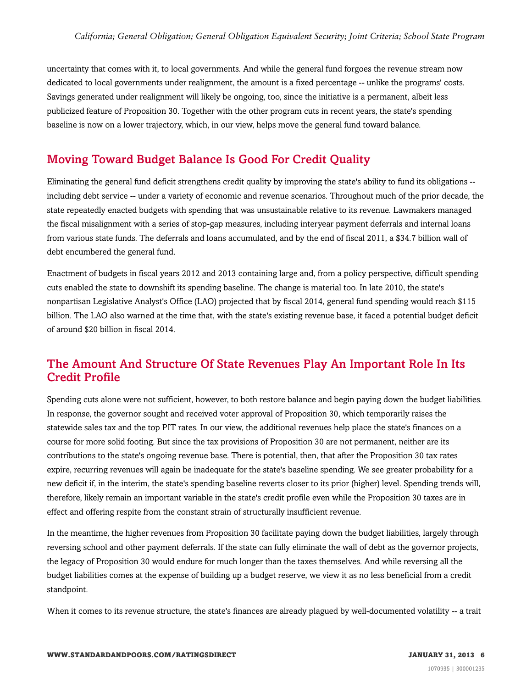uncertainty that comes with it, to local governments. And while the general fund forgoes the revenue stream now dedicated to local governments under realignment, the amount is a fixed percentage -- unlike the programs' costs. Savings generated under realignment will likely be ongoing, too, since the initiative is a permanent, albeit less publicized feature of Proposition 30. Together with the other program cuts in recent years, the state's spending baseline is now on a lower trajectory, which, in our view, helps move the general fund toward balance.

# <span id="page-5-0"></span>Moving Toward Budget Balance Is Good For Credit Quality

Eliminating the general fund deficit strengthens credit quality by improving the state's ability to fund its obligations - including debt service -- under a variety of economic and revenue scenarios. Throughout much of the prior decade, the state repeatedly enacted budgets with spending that was unsustainable relative to its revenue. Lawmakers managed the fiscal misalignment with a series of stop-gap measures, including interyear payment deferrals and internal loans from various state funds. The deferrals and loans accumulated, and by the end of fiscal 2011, a \$34.7 billion wall of debt encumbered the general fund.

Enactment of budgets in fiscal years 2012 and 2013 containing large and, from a policy perspective, difficult spending cuts enabled the state to downshift its spending baseline. The change is material too. In late 2010, the state's nonpartisan Legislative Analyst's Office (LAO) projected that by fiscal 2014, general fund spending would reach \$115 billion. The LAO also warned at the time that, with the state's existing revenue base, it faced a potential budget deficit of around \$20 billion in fiscal 2014.

### <span id="page-5-1"></span>The Amount And Structure Of State Revenues Play An Important Role In Its Credit Profile

Spending cuts alone were not sufficient, however, to both restore balance and begin paying down the budget liabilities. In response, the governor sought and received voter approval of Proposition 30, which temporarily raises the statewide sales tax and the top PIT rates. In our view, the additional revenues help place the state's finances on a course for more solid footing. But since the tax provisions of Proposition 30 are not permanent, neither are its contributions to the state's ongoing revenue base. There is potential, then, that after the Proposition 30 tax rates expire, recurring revenues will again be inadequate for the state's baseline spending. We see greater probability for a new deficit if, in the interim, the state's spending baseline reverts closer to its prior (higher) level. Spending trends will, therefore, likely remain an important variable in the state's credit profile even while the Proposition 30 taxes are in effect and offering respite from the constant strain of structurally insufficient revenue.

In the meantime, the higher revenues from Proposition 30 facilitate paying down the budget liabilities, largely through reversing school and other payment deferrals. If the state can fully eliminate the wall of debt as the governor projects, the legacy of Proposition 30 would endure for much longer than the taxes themselves. And while reversing all the budget liabilities comes at the expense of building up a budget reserve, we view it as no less beneficial from a credit standpoint.

When it comes to its revenue structure, the state's finances are already plagued by well-documented volatility -- a trait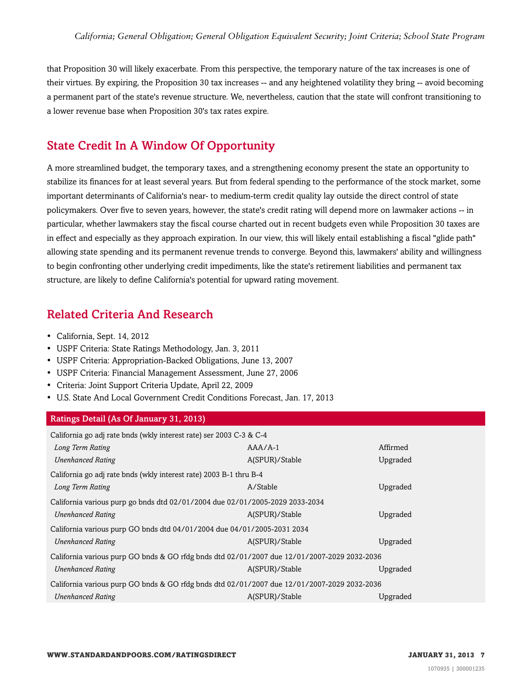that Proposition 30 will likely exacerbate. From this perspective, the temporary nature of the tax increases is one of their virtues. By expiring, the Proposition 30 tax increases -- and any heightened volatility they bring -- avoid becoming a permanent part of the state's revenue structure. We, nevertheless, caution that the state will confront transitioning to a lower revenue base when Proposition 30's tax rates expire.

# <span id="page-6-0"></span>State Credit In A Window Of Opportunity

A more streamlined budget, the temporary taxes, and a strengthening economy present the state an opportunity to stabilize its finances for at least several years. But from federal spending to the performance of the stock market, some important determinants of California's near- to medium-term credit quality lay outside the direct control of state policymakers. Over five to seven years, however, the state's credit rating will depend more on lawmaker actions -- in particular, whether lawmakers stay the fiscal course charted out in recent budgets even while Proposition 30 taxes are in effect and especially as they approach expiration. In our view, this will likely entail establishing a fiscal "glide path" allowing state spending and its permanent revenue trends to converge. Beyond this, lawmakers' ability and willingness to begin confronting other underlying credit impediments, like the state's retirement liabilities and permanent tax structure, are likely to define California's potential for upward rating movement.

# <span id="page-6-1"></span>Related Criteria And Research

- California, Sept. 14, 2012
- USPF Criteria: State Ratings Methodology, Jan. 3, 2011
- USPF Criteria: Appropriation-Backed Obligations, June 13, 2007
- USPF Criteria: Financial Management Assessment, June 27, 2006
- Criteria: Joint Support Criteria Update, April 22, 2009
- U.S. State And Local Government Credit Conditions Forecast, Jan. 17, 2013

#### Ratings Detail (As Of January 31, 2013)

| California go adj rate bnds (wkly interest rate) ser 2003 C-3 & C-4                         |                |          |
|---------------------------------------------------------------------------------------------|----------------|----------|
| Long Term Rating                                                                            | $AA/A-1$       | Affirmed |
| <b>Unenhanced Rating</b>                                                                    | A(SPUR)/Stable | Upgraded |
| California go adj rate bnds (wkly interest rate) 2003 B-1 thru B-4                          |                |          |
| Long Term Rating                                                                            | A/Stable       | Upgraded |
| California various purp go bnds dtd 02/01/2004 due 02/01/2005-2029 2033-2034                |                |          |
| <b>Unenhanced Rating</b>                                                                    | A(SPUR)/Stable | Upgraded |
| California various purp GO bnds dtd 04/01/2004 due 04/01/2005-2031 2034                     |                |          |
| <b>Unenhanced Rating</b>                                                                    | A(SPUR)/Stable | Upgraded |
| California various purp GO bnds & GO rfdg bnds dtd 02/01/2007 due 12/01/2007-2029 2032-2036 |                |          |
| <b>Unenhanced Rating</b>                                                                    | A(SPUR)/Stable | Upgraded |
| California various purp GO bnds & GO rfdg bnds dtd 02/01/2007 due 12/01/2007-2029 2032-2036 |                |          |
| <b>Unenhanced Rating</b>                                                                    | A(SPUR)/Stable | Upgraded |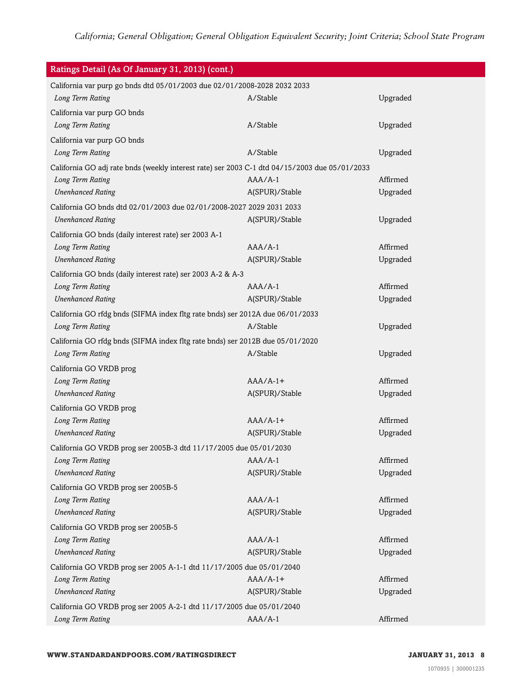| Ratings Detail (As Of January 31, 2013) (cont.)                                               |                |          |
|-----------------------------------------------------------------------------------------------|----------------|----------|
| California var purp go bnds dtd 05/01/2003 due 02/01/2008-2028 2032 2033                      |                |          |
| Long Term Rating                                                                              | A/Stable       | Upgraded |
| California var purp GO bnds                                                                   |                |          |
| Long Term Rating                                                                              | A/Stable       | Upgraded |
| California var purp GO bnds                                                                   |                |          |
| Long Term Rating                                                                              | A/Stable       | Upgraded |
| California GO adj rate bnds (weekly interest rate) ser 2003 C-1 dtd 04/15/2003 due 05/01/2033 |                |          |
| Long Term Rating                                                                              | $AAA/A-1$      | Affirmed |
| <b>Unenhanced Rating</b>                                                                      | A(SPUR)/Stable | Upgraded |
| California GO bnds dtd 02/01/2003 due 02/01/2008-2027 2029 2031 2033                          |                |          |
| <b>Unenhanced Rating</b>                                                                      | A(SPUR)/Stable | Upgraded |
| California GO bnds (daily interest rate) ser 2003 A-1                                         |                |          |
| Long Term Rating                                                                              | $AA/A-1$       | Affirmed |
| <b>Unenhanced Rating</b>                                                                      | A(SPUR)/Stable | Upgraded |
| California GO bnds (daily interest rate) ser 2003 A-2 & A-3                                   |                |          |
| Long Term Rating                                                                              | $AA/A-1$       | Affirmed |
| <b>Unenhanced Rating</b>                                                                      | A(SPUR)/Stable | Upgraded |
| California GO rfdg bnds (SIFMA index fltg rate bnds) ser 2012A due 06/01/2033                 |                |          |
| Long Term Rating                                                                              | A/Stable       | Upgraded |
| California GO rfdg bnds (SIFMA index fltg rate bnds) ser 2012B due 05/01/2020                 |                |          |
| Long Term Rating                                                                              | A/Stable       | Upgraded |
| California GO VRDB prog                                                                       |                |          |
| Long Term Rating                                                                              | $AAA/A-1+$     | Affirmed |
| <b>Unenhanced Rating</b>                                                                      | A(SPUR)/Stable | Upgraded |
| California GO VRDB prog                                                                       |                |          |
| Long Term Rating                                                                              | $AAA/A-1+$     | Affirmed |
| <b>Unenhanced Rating</b>                                                                      | A(SPUR)/Stable | Upgraded |
| California GO VRDB prog ser 2005B-3 dtd 11/17/2005 due 05/01/2030                             |                |          |
| Long Term Rating                                                                              | $AA/A-1$       | Affirmed |
| <b>Unenhanced Rating</b>                                                                      | A(SPUR)/Stable | Upgraded |
| California GO VRDB prog ser 2005B-5                                                           |                |          |
| Long Term Rating                                                                              | $AAA/A-1$      | Affirmed |
| <b>Unenhanced Rating</b>                                                                      | A(SPUR)/Stable | Upgraded |
| California GO VRDB prog ser 2005B-5                                                           |                |          |
| Long Term Rating                                                                              | $AA/A-1$       | Affirmed |
| <b>Unenhanced Rating</b>                                                                      | A(SPUR)/Stable | Upgraded |
| California GO VRDB prog ser 2005 A-1-1 dtd 11/17/2005 due 05/01/2040                          |                |          |
| Long Term Rating                                                                              | $AAA/A-1+$     | Affirmed |
| <b>Unenhanced Rating</b>                                                                      | A(SPUR)/Stable | Upgraded |
| California GO VRDB prog ser 2005 A-2-1 dtd 11/17/2005 due 05/01/2040                          |                |          |
| Long Term Rating                                                                              | $AAA/A-1$      | Affirmed |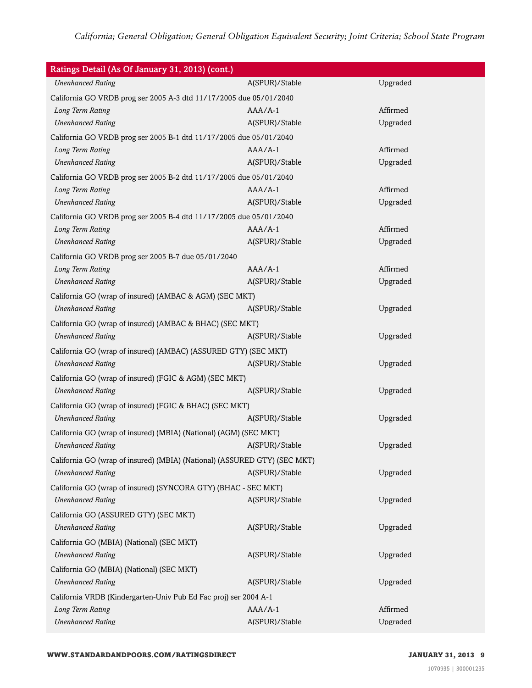| Ratings Detail (As Of January 31, 2013) (cont.)                           |                |          |
|---------------------------------------------------------------------------|----------------|----------|
| <b>Unenhanced Rating</b>                                                  | A(SPUR)/Stable | Upgraded |
| California GO VRDB prog ser 2005 A-3 dtd 11/17/2005 due 05/01/2040        |                |          |
| Long Term Rating                                                          | $AAA/A-1$      | Affirmed |
| <b>Unenhanced Rating</b>                                                  | A(SPUR)/Stable | Upgraded |
| California GO VRDB prog ser 2005 B-1 dtd 11/17/2005 due 05/01/2040        |                |          |
| Long Term Rating                                                          | $AAA/A-1$      | Affirmed |
| <b>Unenhanced Rating</b>                                                  | A(SPUR)/Stable | Upgraded |
| California GO VRDB prog ser 2005 B-2 dtd 11/17/2005 due 05/01/2040        |                |          |
| Long Term Rating                                                          | $AAA/A-1$      | Affirmed |
| <b>Unenhanced Rating</b>                                                  | A(SPUR)/Stable | Upgraded |
| California GO VRDB prog ser 2005 B-4 dtd 11/17/2005 due 05/01/2040        |                |          |
| Long Term Rating                                                          | $AAA/A-1$      | Affirmed |
| <b>Unenhanced Rating</b>                                                  | A(SPUR)/Stable | Upgraded |
| California GO VRDB prog ser 2005 B-7 due 05/01/2040                       |                |          |
| Long Term Rating                                                          | $AAA/A-1$      | Affirmed |
| <b>Unenhanced Rating</b>                                                  | A(SPUR)/Stable | Upgraded |
| California GO (wrap of insured) (AMBAC & AGM) (SEC MKT)                   |                |          |
| <b>Unenhanced Rating</b>                                                  | A(SPUR)/Stable | Upgraded |
| California GO (wrap of insured) (AMBAC & BHAC) (SEC MKT)                  |                |          |
| <b>Unenhanced Rating</b>                                                  | A(SPUR)/Stable | Upgraded |
| California GO (wrap of insured) (AMBAC) (ASSURED GTY) (SEC MKT)           |                |          |
| <b>Unenhanced Rating</b>                                                  | A(SPUR)/Stable | Upgraded |
| California GO (wrap of insured) (FGIC & AGM) (SEC MKT)                    |                |          |
| <b>Unenhanced Rating</b>                                                  | A(SPUR)/Stable | Upgraded |
| California GO (wrap of insured) (FGIC & BHAC) (SEC MKT)                   |                |          |
| <b>Unenhanced Rating</b>                                                  | A(SPUR)/Stable | Upgraded |
| California GO (wrap of insured) (MBIA) (National) (AGM) (SEC MKT)         |                |          |
| <b>Unenhanced Rating</b>                                                  | A(SPUR)/Stable | Upgraded |
| California GO (wrap of insured) (MBIA) (National) (ASSURED GTY) (SEC MKT) |                |          |
| <b>Unenhanced Rating</b>                                                  | A(SPUR)/Stable | Upgraded |
| California GO (wrap of insured) (SYNCORA GTY) (BHAC - SEC MKT)            |                |          |
| <b>Unenhanced Rating</b>                                                  | A(SPUR)/Stable | Upgraded |
| California GO (ASSURED GTY) (SEC MKT)                                     |                |          |
| <b>Unenhanced Rating</b>                                                  | A(SPUR)/Stable | Upgraded |
|                                                                           |                |          |
| California GO (MBIA) (National) (SEC MKT)<br><b>Unenhanced Rating</b>     | A(SPUR)/Stable | Upgraded |
|                                                                           |                |          |
| California GO (MBIA) (National) (SEC MKT)                                 |                |          |
| <b>Unenhanced Rating</b>                                                  | A(SPUR)/Stable | Upgraded |
| California VRDB (Kindergarten-Univ Pub Ed Fac proj) ser 2004 A-1          |                |          |
| Long Term Rating                                                          | $AAA/A-1$      | Affirmed |
| <b>Unenhanced Rating</b>                                                  | A(SPUR)/Stable | Upgraded |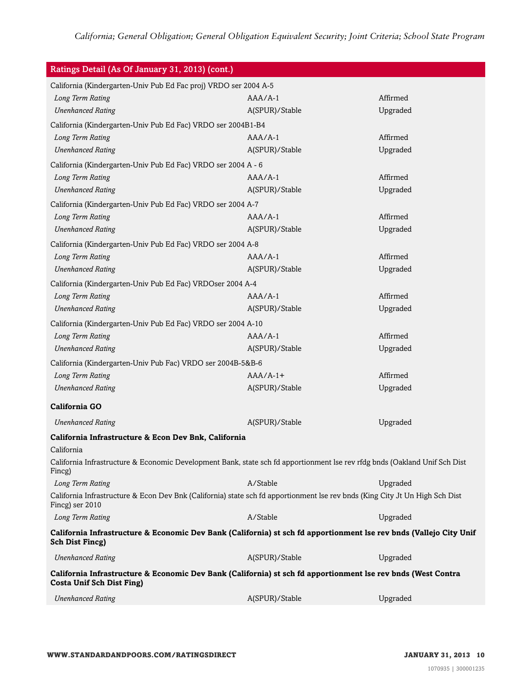| Ratings Detail (As Of January 31, 2013) (cont.)                                                                                                  |                |          |
|--------------------------------------------------------------------------------------------------------------------------------------------------|----------------|----------|
| California (Kindergarten-Univ Pub Ed Fac proj) VRDO ser 2004 A-5                                                                                 |                |          |
| Long Term Rating                                                                                                                                 | $AAA/A-1$      | Affirmed |
| <b>Unenhanced Rating</b>                                                                                                                         | A(SPUR)/Stable | Upgraded |
| California (Kindergarten-Univ Pub Ed Fac) VRDO ser 2004B1-B4                                                                                     |                |          |
| Long Term Rating                                                                                                                                 | $AA/A-1$       | Affirmed |
| <b>Unenhanced Rating</b>                                                                                                                         | A(SPUR)/Stable | Upgraded |
| California (Kindergarten-Univ Pub Ed Fac) VRDO ser 2004 A - 6                                                                                    |                |          |
| Long Term Rating                                                                                                                                 | $AA/A-1$       | Affirmed |
| <b>Unenhanced Rating</b>                                                                                                                         | A(SPUR)/Stable | Upgraded |
| California (Kindergarten-Univ Pub Ed Fac) VRDO ser 2004 A-7                                                                                      |                |          |
| Long Term Rating                                                                                                                                 | $AA/A-1$       | Affirmed |
| <b>Unenhanced Rating</b>                                                                                                                         | A(SPUR)/Stable | Upgraded |
| California (Kindergarten-Univ Pub Ed Fac) VRDO ser 2004 A-8                                                                                      |                |          |
| Long Term Rating                                                                                                                                 | $AA/A-1$       | Affirmed |
| <b>Unenhanced Rating</b>                                                                                                                         | A(SPUR)/Stable | Upgraded |
| California (Kindergarten-Univ Pub Ed Fac) VRDOser 2004 A-4                                                                                       |                |          |
| Long Term Rating                                                                                                                                 | $AA/A-1$       | Affirmed |
| <b>Unenhanced Rating</b>                                                                                                                         | A(SPUR)/Stable | Upgraded |
| California (Kindergarten-Univ Pub Ed Fac) VRDO ser 2004 A-10                                                                                     |                |          |
| Long Term Rating                                                                                                                                 | $AAA/A-1$      | Affirmed |
| <b>Unenhanced Rating</b>                                                                                                                         | A(SPUR)/Stable | Upgraded |
| California (Kindergarten-Univ Pub Fac) VRDO ser 2004B-5&B-6                                                                                      |                |          |
| Long Term Rating                                                                                                                                 | $AAA/A-1+$     | Affirmed |
| <b>Unenhanced Rating</b>                                                                                                                         | A(SPUR)/Stable | Upgraded |
| <b>California GO</b>                                                                                                                             |                |          |
|                                                                                                                                                  |                |          |
| <b>Unenhanced Rating</b>                                                                                                                         | A(SPUR)/Stable | Upgraded |
| California Infrastructure & Econ Dev Bnk, California                                                                                             |                |          |
| California                                                                                                                                       |                |          |
| California Infrastructure & Economic Development Bank, state sch fd apportionment lse rev rfdg bnds (Oakland Unif Sch Dist<br>Fincg)             |                |          |
| Long Term Rating                                                                                                                                 | A/Stable       | Upgraded |
| California Infrastructure & Econ Dev Bnk (California) state sch fd apportionment lse rev bnds (King City Jt Un High Sch Dist<br>Fincg) ser 2010  |                |          |
| Long Term Rating                                                                                                                                 | A/Stable       | Upgraded |
| California Infrastructure & Economic Dev Bank (California) st sch fd apportionment lse rev bnds (Vallejo City Unif<br><b>Sch Dist Fincg)</b>     |                |          |
| <b>Unenhanced Rating</b>                                                                                                                         | A(SPUR)/Stable | Upgraded |
| California Infrastructure & Economic Dev Bank (California) st sch fd apportionment Ise rev bnds (West Contra<br><b>Costa Unif Sch Dist Fing)</b> |                |          |
| <b>Unenhanced Rating</b>                                                                                                                         | A(SPUR)/Stable | Upgraded |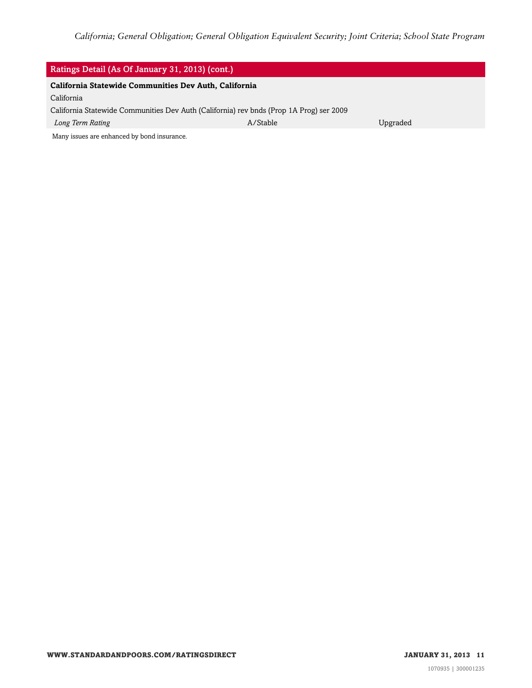| Ratings Detail (As Of January 31, 2013) (cont.)                                         |          |          |  |
|-----------------------------------------------------------------------------------------|----------|----------|--|
| California Statewide Communities Dev Auth, California                                   |          |          |  |
| California                                                                              |          |          |  |
| California Statewide Communities Dev Auth (California) rev bnds (Prop 1A Prog) ser 2009 |          |          |  |
| Long Term Rating                                                                        | A/Stable | Upgraded |  |
| Many issues are enhanced by bond insurance.                                             |          |          |  |